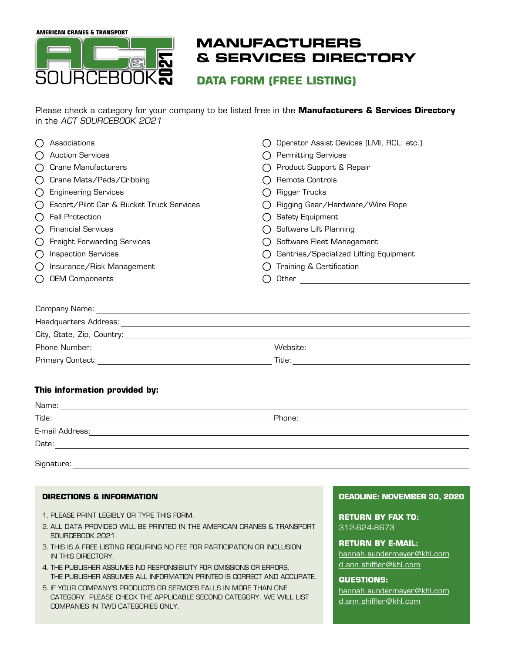**AMERICAN CRANES & TRANSPORT**



# **MANUFACTURERS & SERVICES DIRECTORY**

**DATA FORM (FREE LISTING)**

Please check a category for your company to be listed free in the **Manufacturers & Services Directory** in the ACT SOURCEBOOK 2021

|                                             | Associations                             |  | Operator Assist Devices (LMI, RCL, etc.) |  |  |
|---------------------------------------------|------------------------------------------|--|------------------------------------------|--|--|
| $(\ )$                                      | <b>Auction Services</b>                  |  | <b>Permitting Services</b>               |  |  |
| (                                           | <b>Crane Manufacturers</b>               |  | Product Support & Repair                 |  |  |
|                                             | Crane Mats/Pads/Cribbing                 |  | Remote Controls                          |  |  |
| ( )                                         | <b>Engineering Services</b>              |  | <b>Rigger Trucks</b>                     |  |  |
| $\left(\begin{array}{c} \end{array}\right)$ | Escort/Pilot Car & Bucket Truck Services |  | Rigging Gear/Hardware/Wire Rope          |  |  |
| ( )                                         | <b>Fall Protection</b>                   |  | Safety Equipment                         |  |  |
| ( )                                         | <b>Financial Services</b>                |  | Software Lift Planning                   |  |  |
| ( )                                         | <b>Freight Forwarding Services</b>       |  | Software Fleet Management                |  |  |
|                                             | <b>Inspection Services</b>               |  | Gantries/Specialized Lifting Equipment   |  |  |
|                                             | Insurance/Risk Management                |  | Training & Certification                 |  |  |
|                                             | <b>OEM Components</b>                    |  | Other                                    |  |  |
|                                             |                                          |  |                                          |  |  |
| Company Name:                               |                                          |  |                                          |  |  |

| City, State, Zip, Country: |          |  |  |  |
|----------------------------|----------|--|--|--|
| Phone Number:              | Website: |  |  |  |
| Primary Contact:           | Title:   |  |  |  |

## **This information provided by:**

Headquarters Address:

| Name:           |        |  |  |  |  |
|-----------------|--------|--|--|--|--|
| Title:          | Phone: |  |  |  |  |
| E-mail Address: |        |  |  |  |  |
| Date:           |        |  |  |  |  |
| Signature:      |        |  |  |  |  |

### **DIRECTIONS & INFORMATION**

- 1. PLEASE PRINT LEGIBLY OR TYPE THIS FORM.
- 2. ALL DATA PROVIDED WILL BE PRINTED IN THE AMERICAN CRANES & TRANSPORT SOURCEBOOK 2021.
- 3. THIS IS A FREE LISTING REQUIRING NO FEE FOR PARTICIPATION OR INCLUSION IN THIS DIRECTORY.
- 4. THE PUBLISHER ASSUMES NO RESPONSIBILITY FOR OMISSIONS OR ERRORS. THE PUBLISHER ASSUMES ALL INFORMATION PRINTED IS CORRECT AND ACCURATE.
- 5. IF YOUR COMPANY'S PRODUCTS OR SERVICES FALLS IN MORE THAN ONE CATEGORY, PLEASE CHECK THE APPLICABLE SECOND CATEGORY. WE WILL LIST COMPANIES IN TWO CATEGORIES ONLY.

#### **DEADLINE: NOVEMBER 30, 2020**

**RETURN BY FAX TO:**  312-624-8673

**RETURN BY E-MAIL:**  [hannah.sundermeyer@khl.com](mailto:hannah.sundermeyer@khl.com) [d.ann.shiffler@khl.com](mailto:d.ann.shiffler%40khl.com?subject=)

### **QUESTIONS:**

[hannah.sundermeyer@khl.com](mailto:hannah.sundermeyer@khl.com) [d.ann.shiffler@khl.com](mailto:d.ann.shiffler%40khl.com?subject=)